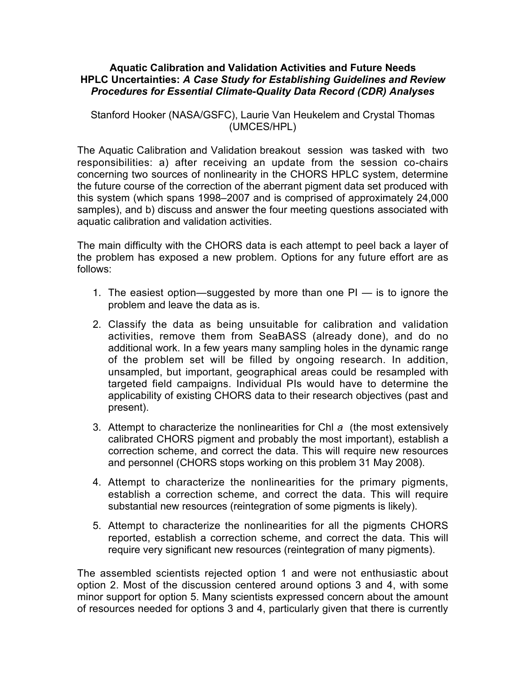## **Aquatic Calibration and Validation Activities and Future Needs HPLC Uncertainties:** *A Case Study for Establishing Guidelines and Review Procedures for Essential Climate-Quality Data Record (CDR) Analyses*

Stanford Hooker (NASA/GSFC), Laurie Van Heukelem and Crystal Thomas (UMCES/HPL)

The Aquatic Calibration and Validation breakout session was tasked with two responsibilities: a) after receiving an update from the session co-chairs concerning two sources of nonlinearity in the CHORS HPLC system, determine the future course of the correction of the aberrant pigment data set produced with this system (which spans 1998–2007 and is comprised of approximately 24,000 samples), and b) discuss and answer the four meeting questions associated with aquatic calibration and validation activities.

The main difficulty with the CHORS data is each attempt to peel back a layer of the problem has exposed a new problem. Options for any future effort are as follows:

- 1. The easiest option—suggested by more than one PI is to ignore the problem and leave the data as is.
- 2. Classify the data as being unsuitable for calibration and validation activities, remove them from SeaBASS (already done), and do no additional work. In a few years many sampling holes in the dynamic range of the problem set will be filled by ongoing research. In addition, unsampled, but important, geographical areas could be resampled with targeted field campaigns. Individual PIs would have to determine the applicability of existing CHORS data to their research objectives (past and present).
- 3. Attempt to characterize the nonlinearities for Chl *a* (the most extensively calibrated CHORS pigment and probably the most important), establish a correction scheme, and correct the data. This will require new resources and personnel (CHORS stops working on this problem 31 May 2008).
- 4. Attempt to characterize the nonlinearities for the primary pigments, establish a correction scheme, and correct the data. This will require substantial new resources (reintegration of some pigments is likely).
- 5. Attempt to characterize the nonlinearities for all the pigments CHORS reported, establish a correction scheme, and correct the data. This will require very significant new resources (reintegration of many pigments).

The assembled scientists rejected option 1 and were not enthusiastic about option 2. Most of the discussion centered around options 3 and 4, with some minor support for option 5. Many scientists expressed concern about the amount of resources needed for options 3 and 4, particularly given that there is currently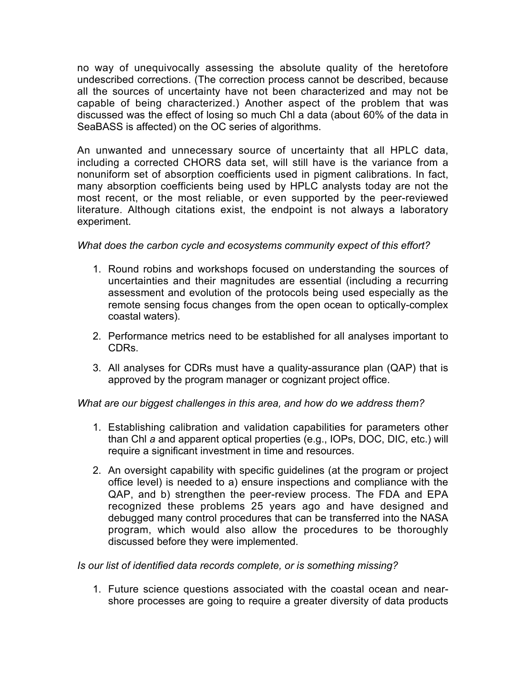no way of unequivocally assessing the absolute quality of the heretofore undescribed corrections. (The correction process cannot be described, because all the sources of uncertainty have not been characterized and may not be capable of being characterized.) Another aspect of the problem that was discussed was the effect of losing so much Chl a data (about 60% of the data in SeaBASS is affected) on the OC series of algorithms.

An unwanted and unnecessary source of uncertainty that all HPLC data, including a corrected CHORS data set, will still have is the variance from a nonuniform set of absorption coefficients used in pigment calibrations. In fact, many absorption coefficients being used by HPLC analysts today are not the most recent, or the most reliable, or even supported by the peer-reviewed literature. Although citations exist, the endpoint is not always a laboratory experiment.

*What does the carbon cycle and ecosystems community expect of this effort?*

- 1. Round robins and workshops focused on understanding the sources of uncertainties and their magnitudes are essential (including a recurring assessment and evolution of the protocols being used especially as the remote sensing focus changes from the open ocean to optically-complex coastal waters).
- 2. Performance metrics need to be established for all analyses important to CDRs.
- 3. All analyses for CDRs must have a quality-assurance plan (QAP) that is approved by the program manager or cognizant project office.

*What are our biggest challenges in this area, and how do we address them?*

- 1. Establishing calibration and validation capabilities for parameters other than Chl *a* and apparent optical properties (e.g., IOPs, DOC, DIC, etc.) will require a significant investment in time and resources.
- 2. An oversight capability with specific guidelines (at the program or project office level) is needed to a) ensure inspections and compliance with the QAP, and b) strengthen the peer-review process. The FDA and EPA recognized these problems 25 years ago and have designed and debugged many control procedures that can be transferred into the NASA program, which would also allow the procedures to be thoroughly discussed before they were implemented.

*Is our list of identified data records complete, or is something missing?*

1. Future science questions associated with the coastal ocean and nearshore processes are going to require a greater diversity of data products